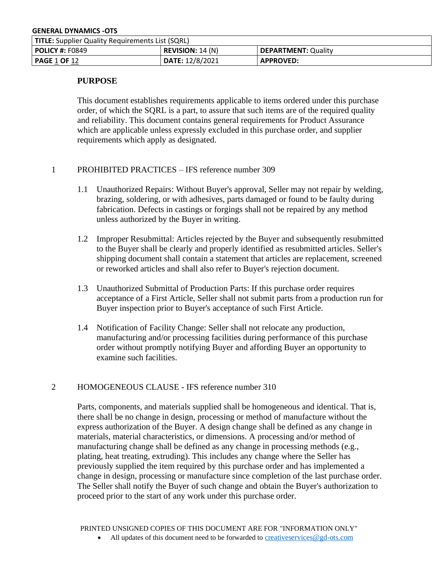| <b>TITLE:</b> Supplier Quality Requirements List (SQRL) |                         |                            |
|---------------------------------------------------------|-------------------------|----------------------------|
| <b>POLICY #: F0849</b>                                  | <b>REVISION:</b> 14 (N) | <b>DEPARTMENT: Quality</b> |
| <b>PAGE 1 OF 12</b>                                     | DATE: 12/8/2021         | <b>APPROVED:</b>           |

### **PURPOSE**

This document establishes requirements applicable to items ordered under this purchase order, of which the SQRL is a part, to assure that such items are of the required quality and reliability. This document contains general requirements for Product Assurance which are applicable unless expressly excluded in this purchase order, and supplier requirements which apply as designated.

## 1 PROHIBITED PRACTICES – IFS reference number 309

- 1.1 Unauthorized Repairs: Without Buyer's approval, Seller may not repair by welding, brazing, soldering, or with adhesives, parts damaged or found to be faulty during fabrication. Defects in castings or forgings shall not be repaired by any method unless authorized by the Buyer in writing.
- 1.2 Improper Resubmittal: Articles rejected by the Buyer and subsequently resubmitted to the Buyer shall be clearly and properly identified as resubmitted articles. Seller's shipping document shall contain a statement that articles are replacement, screened or reworked articles and shall also refer to Buyer's rejection document.
- 1.3 Unauthorized Submittal of Production Parts: If this purchase order requires acceptance of a First Article, Seller shall not submit parts from a production run for Buyer inspection prior to Buyer's acceptance of such First Article.
- 1.4 Notification of Facility Change: Seller shall not relocate any production, manufacturing and/or processing facilities during performance of this purchase order without promptly notifying Buyer and affording Buyer an opportunity to examine such facilities.

### 2 HOMOGENEOUS CLAUSE - IFS reference number 310

Parts, components, and materials supplied shall be homogeneous and identical. That is, there shall be no change in design, processing or method of manufacture without the express authorization of the Buyer. A design change shall be defined as any change in materials, material characteristics, or dimensions. A processing and/or method of manufacturing change shall be defined as any change in processing methods (e.g., plating, heat treating, extruding). This includes any change where the Seller has previously supplied the item required by this purchase order and has implemented a change in design, processing or manufacture since completion of the last purchase order. The Seller shall notify the Buyer of such change and obtain the Buyer's authorization to proceed prior to the start of any work under this purchase order.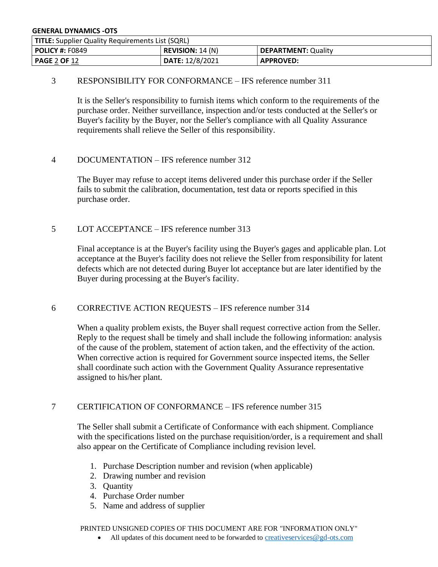| <b>TITLE:</b> Supplier Quality Requirements List (SQRL) |                                                       |                  |  |
|---------------------------------------------------------|-------------------------------------------------------|------------------|--|
| <b>POLICY #: F0849</b>                                  | <b>REVISION:</b> 14 (N)<br><b>DEPARTMENT: Quality</b> |                  |  |
| PAGE 2 OF 12                                            | DATE: 12/8/2021                                       | <b>APPROVED:</b> |  |

## 3 RESPONSIBILITY FOR CONFORMANCE – IFS reference number 311

It is the Seller's responsibility to furnish items which conform to the requirements of the purchase order. Neither surveillance, inspection and/or tests conducted at the Seller's or Buyer's facility by the Buyer, nor the Seller's compliance with all Quality Assurance requirements shall relieve the Seller of this responsibility.

## 4 DOCUMENTATION – IFS reference number 312

The Buyer may refuse to accept items delivered under this purchase order if the Seller fails to submit the calibration, documentation, test data or reports specified in this purchase order.

## 5 LOT ACCEPTANCE – IFS reference number 313

Final acceptance is at the Buyer's facility using the Buyer's gages and applicable plan. Lot acceptance at the Buyer's facility does not relieve the Seller from responsibility for latent defects which are not detected during Buyer lot acceptance but are later identified by the Buyer during processing at the Buyer's facility.

## 6 CORRECTIVE ACTION REQUESTS – IFS reference number 314

When a quality problem exists, the Buyer shall request corrective action from the Seller. Reply to the request shall be timely and shall include the following information: analysis of the cause of the problem, statement of action taken, and the effectivity of the action. When corrective action is required for Government source inspected items, the Seller shall coordinate such action with the Government Quality Assurance representative assigned to his/her plant.

## 7 CERTIFICATION OF CONFORMANCE – IFS reference number 315

The Seller shall submit a Certificate of Conformance with each shipment. Compliance with the specifications listed on the purchase requisition/order, is a requirement and shall also appear on the Certificate of Compliance including revision level.

- 1. Purchase Description number and revision (when applicable)
- 2. Drawing number and revision
- 3. Quantity
- 4. Purchase Order number
- 5. Name and address of supplier

PRINTED UNSIGNED COPIES OF THIS DOCUMENT ARE FOR "INFORMATION ONLY"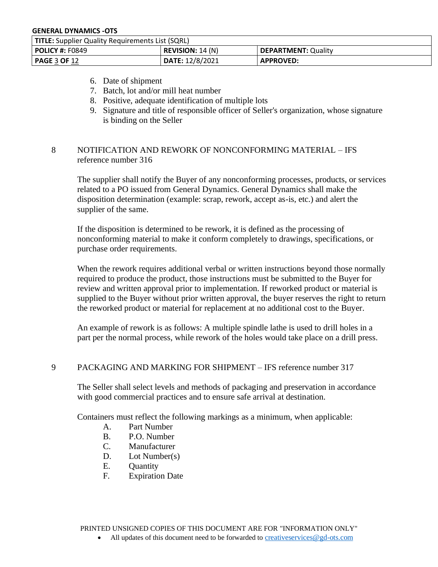| <b>TITLE:</b> Supplier Quality Requirements List (SQRL) |                                                        |                  |
|---------------------------------------------------------|--------------------------------------------------------|------------------|
| <b>POLICY #:</b> F0849                                  | <b>REVISION:</b> $14(N)$<br><b>DEPARTMENT: Quality</b> |                  |
| PAGE 3 OF 12                                            | DATE: 12/8/2021                                        | <b>APPROVED:</b> |

- 6. Date of shipment
- 7. Batch, lot and/or mill heat number
- 8. Positive, adequate identification of multiple lots
- 9. Signature and title of responsible officer of Seller's organization, whose signature is binding on the Seller

# 8 NOTIFICATION AND REWORK OF NONCONFORMING MATERIAL – IFS reference number 316

The supplier shall notify the Buyer of any nonconforming processes, products, or services related to a PO issued from General Dynamics. General Dynamics shall make the disposition determination (example: scrap, rework, accept as-is, etc.) and alert the supplier of the same.

If the disposition is determined to be rework, it is defined as the processing of nonconforming material to make it conform completely to drawings, specifications, or purchase order requirements.

When the rework requires additional verbal or written instructions beyond those normally required to produce the product, those instructions must be submitted to the Buyer for review and written approval prior to implementation. If reworked product or material is supplied to the Buyer without prior written approval, the buyer reserves the right to return the reworked product or material for replacement at no additional cost to the Buyer.

An example of rework is as follows: A multiple spindle lathe is used to drill holes in a part per the normal process, while rework of the holes would take place on a drill press.

# 9 PACKAGING AND MARKING FOR SHIPMENT – IFS reference number 317

The Seller shall select levels and methods of packaging and preservation in accordance with good commercial practices and to ensure safe arrival at destination.

Containers must reflect the following markings as a minimum, when applicable:

- A. Part Number
- B. P.O. Number
- C. Manufacturer
- D. Lot Number(s)
- E. Quantity
- F. Expiration Date

PRINTED UNSIGNED COPIES OF THIS DOCUMENT ARE FOR "INFORMATION ONLY"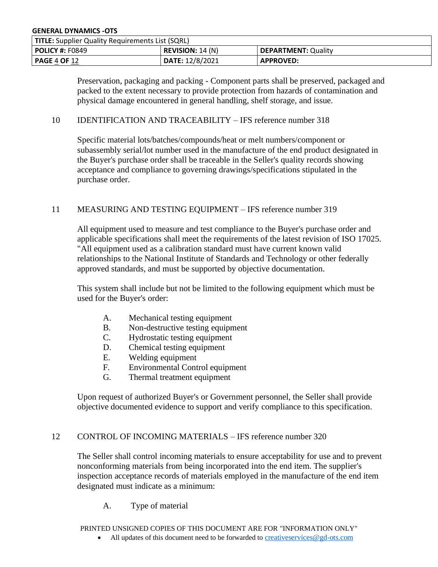| <b>TITLE:</b> Supplier Quality Requirements List (SQRL) |                  |                            |
|---------------------------------------------------------|------------------|----------------------------|
| <b>POLICY #:</b> F0849                                  | REVISION: 14 (N) | <b>DEPARTMENT: Quality</b> |
| l <b>PAGE 4 OF</b> 12                                   | DATE: 12/8/2021  | <b>APPROVED:</b>           |

Preservation, packaging and packing - Component parts shall be preserved, packaged and packed to the extent necessary to provide protection from hazards of contamination and physical damage encountered in general handling, shelf storage, and issue.

### 10 IDENTIFICATION AND TRACEABILITY – IFS reference number 318

Specific material lots/batches/compounds/heat or melt numbers/component or subassembly serial/lot number used in the manufacture of the end product designated in the Buyer's purchase order shall be traceable in the Seller's quality records showing acceptance and compliance to governing drawings/specifications stipulated in the purchase order.

### 11 MEASURING AND TESTING EQUIPMENT – IFS reference number 319

All equipment used to measure and test compliance to the Buyer's purchase order and applicable specifications shall meet the requirements of the latest revision of ISO 17025. "All equipment used as a calibration standard must have current known valid relationships to the National Institute of Standards and Technology or other federally approved standards, and must be supported by objective documentation.

This system shall include but not be limited to the following equipment which must be used for the Buyer's order:

- A. Mechanical testing equipment
- B. Non-destructive testing equipment
- C. Hydrostatic testing equipment
- D. Chemical testing equipment
- E. Welding equipment
- F. Environmental Control equipment
- G. Thermal treatment equipment

Upon request of authorized Buyer's or Government personnel, the Seller shall provide objective documented evidence to support and verify compliance to this specification.

### 12 CONTROL OF INCOMING MATERIALS – IFS reference number 320

The Seller shall control incoming materials to ensure acceptability for use and to prevent nonconforming materials from being incorporated into the end item. The supplier's inspection acceptance records of materials employed in the manufacture of the end item designated must indicate as a minimum:

A. Type of material

PRINTED UNSIGNED COPIES OF THIS DOCUMENT ARE FOR "INFORMATION ONLY"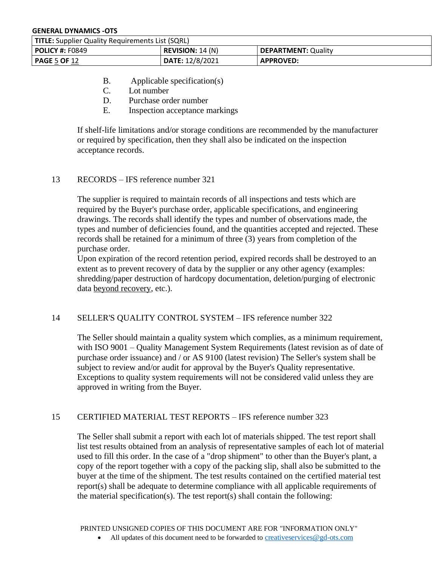| <b>TITLE:</b> Supplier Quality Requirements List (SQRL) |                  |                     |
|---------------------------------------------------------|------------------|---------------------|
| <b>POLICY #: F0849</b>                                  | REVISION: 14 (N) | DEPARTMENT: Quality |
| <b>PAGE 5 OF 12</b>                                     | DATE: 12/8/2021  | <b>APPROVED:</b>    |

- B. Applicable specification(s)
- C. Lot number
- D. Purchase order number
- E. Inspection acceptance markings

If shelf-life limitations and/or storage conditions are recommended by the manufacturer or required by specification, then they shall also be indicated on the inspection acceptance records.

# 13 RECORDS – IFS reference number 321

The supplier is required to maintain records of all inspections and tests which are required by the Buyer's purchase order, applicable specifications, and engineering drawings. The records shall identify the types and number of observations made, the types and number of deficiencies found, and the quantities accepted and rejected. These records shall be retained for a minimum of three (3) years from completion of the purchase order.

Upon expiration of the record retention period, expired records shall be destroyed to an extent as to prevent recovery of data by the supplier or any other agency (examples: shredding/paper destruction of hardcopy documentation, deletion/purging of electronic data beyond recovery, etc.).

## 14 SELLER'S QUALITY CONTROL SYSTEM – IFS reference number 322

The Seller should maintain a quality system which complies, as a minimum requirement, with ISO 9001 – Quality Management System Requirements (latest revision as of date of purchase order issuance) and / or AS 9100 (latest revision) The Seller's system shall be subject to review and/or audit for approval by the Buyer's Quality representative. Exceptions to quality system requirements will not be considered valid unless they are approved in writing from the Buyer.

# 15 CERTIFIED MATERIAL TEST REPORTS – IFS reference number 323

The Seller shall submit a report with each lot of materials shipped. The test report shall list test results obtained from an analysis of representative samples of each lot of material used to fill this order. In the case of a "drop shipment" to other than the Buyer's plant, a copy of the report together with a copy of the packing slip, shall also be submitted to the buyer at the time of the shipment. The test results contained on the certified material test report(s) shall be adequate to determine compliance with all applicable requirements of the material specification(s). The test report(s) shall contain the following: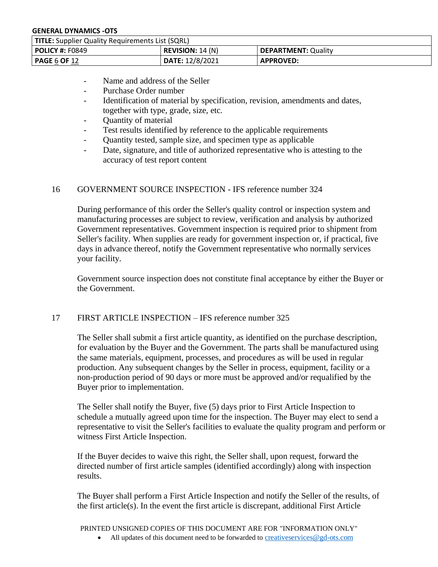| <b>TITLE:</b> Supplier Quality Requirements List (SQRL) |                  |                     |
|---------------------------------------------------------|------------------|---------------------|
| <b>POLICY #:</b> F0849                                  | REVISION: 14 (N) | DEPARTMENT: Quality |
| <b>PAGE</b> 6 <b>OF</b> 12                              | DATE: 12/8/2021  | <b>APPROVED:</b>    |

- Name and address of the Seller
- Purchase Order number
- Identification of material by specification, revision, amendments and dates, together with type, grade, size, etc.
- Ouantity of material
- Test results identified by reference to the applicable requirements
- Quantity tested, sample size, and specimen type as applicable
- Date, signature, and title of authorized representative who is attesting to the accuracy of test report content

## 16 GOVERNMENT SOURCE INSPECTION - IFS reference number 324

During performance of this order the Seller's quality control or inspection system and manufacturing processes are subject to review, verification and analysis by authorized Government representatives. Government inspection is required prior to shipment from Seller's facility. When supplies are ready for government inspection or, if practical, five days in advance thereof, notify the Government representative who normally services your facility.

Government source inspection does not constitute final acceptance by either the Buyer or the Government.

## 17 FIRST ARTICLE INSPECTION – IFS reference number 325

The Seller shall submit a first article quantity, as identified on the purchase description, for evaluation by the Buyer and the Government. The parts shall be manufactured using the same materials, equipment, processes, and procedures as will be used in regular production. Any subsequent changes by the Seller in process, equipment, facility or a non-production period of 90 days or more must be approved and/or requalified by the Buyer prior to implementation.

The Seller shall notify the Buyer, five (5) days prior to First Article Inspection to schedule a mutually agreed upon time for the inspection. The Buyer may elect to send a representative to visit the Seller's facilities to evaluate the quality program and perform or witness First Article Inspection.

If the Buyer decides to waive this right, the Seller shall, upon request, forward the directed number of first article samples (identified accordingly) along with inspection results.

The Buyer shall perform a First Article Inspection and notify the Seller of the results, of the first article(s). In the event the first article is discrepant, additional First Article

PRINTED UNSIGNED COPIES OF THIS DOCUMENT ARE FOR "INFORMATION ONLY"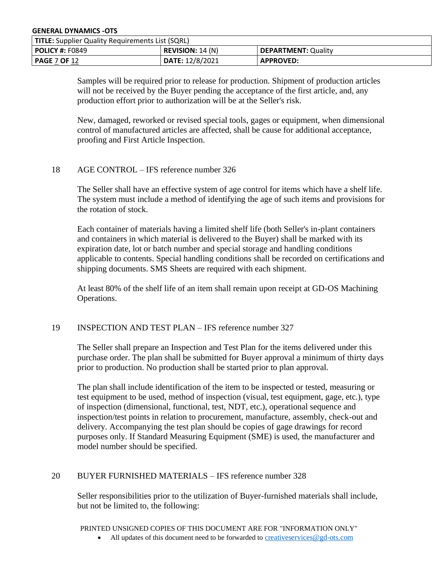| <b>TITLE:</b> Supplier Quality Requirements List (SQRL)                    |                 |                  |
|----------------------------------------------------------------------------|-----------------|------------------|
| <b>REVISION:</b> 14 (N)<br>DEPARTMENT: Quality<br>  <b>POLICY #:</b> F0849 |                 |                  |
| PAGE 7 OF 12                                                               | DATE: 12/8/2021 | <b>APPROVED:</b> |

Samples will be required prior to release for production. Shipment of production articles will not be received by the Buyer pending the acceptance of the first article, and, any production effort prior to authorization will be at the Seller's risk.

New, damaged, reworked or revised special tools, gages or equipment, when dimensional control of manufactured articles are affected, shall be cause for additional acceptance, proofing and First Article Inspection.

### 18 AGE CONTROL – IFS reference number 326

The Seller shall have an effective system of age control for items which have a shelf life. The system must include a method of identifying the age of such items and provisions for the rotation of stock.

Each container of materials having a limited shelf life (both Seller's in-plant containers and containers in which material is delivered to the Buyer) shall be marked with its expiration date, lot or batch number and special storage and handling conditions applicable to contents. Special handling conditions shall be recorded on certifications and shipping documents. SMS Sheets are required with each shipment.

At least 80% of the shelf life of an item shall remain upon receipt at GD-OS Machining Operations.

### 19 INSPECTION AND TEST PLAN – IFS reference number 327

The Seller shall prepare an Inspection and Test Plan for the items delivered under this purchase order. The plan shall be submitted for Buyer approval a minimum of thirty days prior to production. No production shall be started prior to plan approval.

The plan shall include identification of the item to be inspected or tested, measuring or test equipment to be used, method of inspection (visual, test equipment, gage, etc.), type of inspection (dimensional, functional, test, NDT, etc.), operational sequence and inspection/test points in relation to procurement, manufacture, assembly, check-out and delivery. Accompanying the test plan should be copies of gage drawings for record purposes only. If Standard Measuring Equipment (SME) is used, the manufacturer and model number should be specified.

## 20 BUYER FURNISHED MATERIALS – IFS reference number 328

Seller responsibilities prior to the utilization of Buyer-furnished materials shall include, but not be limited to, the following:

PRINTED UNSIGNED COPIES OF THIS DOCUMENT ARE FOR "INFORMATION ONLY"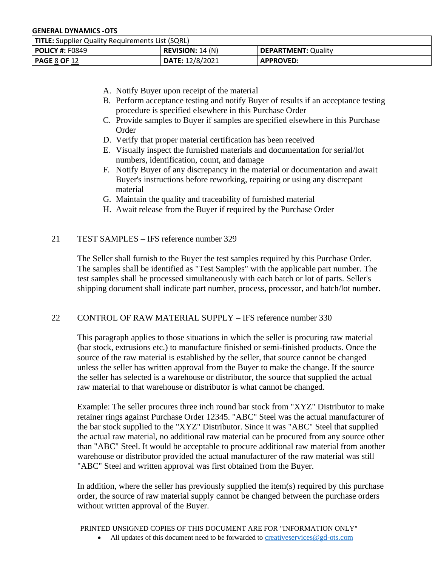| <b>TITLE:</b> Supplier Quality Requirements List (SQRL) |                                                        |                  |  |
|---------------------------------------------------------|--------------------------------------------------------|------------------|--|
| <b>POLICY #:</b> F0849                                  | <b>REVISION:</b> $14(N)$<br><b>DEPARTMENT: Quality</b> |                  |  |
| PAGE 8 OF 12                                            | DATE: 12/8/2021                                        | <b>APPROVED:</b> |  |

- A. Notify Buyer upon receipt of the material
- B. Perform acceptance testing and notify Buyer of results if an acceptance testing procedure is specified elsewhere in this Purchase Order
- C. Provide samples to Buyer if samples are specified elsewhere in this Purchase Order
- D. Verify that proper material certification has been received
- E. Visually inspect the furnished materials and documentation for serial/lot numbers, identification, count, and damage
- F. Notify Buyer of any discrepancy in the material or documentation and await Buyer's instructions before reworking, repairing or using any discrepant material
- G. Maintain the quality and traceability of furnished material
- H. Await release from the Buyer if required by the Purchase Order

# 21 TEST SAMPLES – IFS reference number 329

The Seller shall furnish to the Buyer the test samples required by this Purchase Order. The samples shall be identified as "Test Samples" with the applicable part number. The test samples shall be processed simultaneously with each batch or lot of parts. Seller's shipping document shall indicate part number, process, processor, and batch/lot number.

## 22 CONTROL OF RAW MATERIAL SUPPLY – IFS reference number 330

This paragraph applies to those situations in which the seller is procuring raw material (bar stock, extrusions etc.) to manufacture finished or semi-finished products. Once the source of the raw material is established by the seller, that source cannot be changed unless the seller has written approval from the Buyer to make the change. If the source the seller has selected is a warehouse or distributor, the source that supplied the actual raw material to that warehouse or distributor is what cannot be changed.

Example: The seller procures three inch round bar stock from "XYZ" Distributor to make retainer rings against Purchase Order 12345. "ABC" Steel was the actual manufacturer of the bar stock supplied to the "XYZ" Distributor. Since it was "ABC" Steel that supplied the actual raw material, no additional raw material can be procured from any source other than "ABC" Steel. It would be acceptable to procure additional raw material from another warehouse or distributor provided the actual manufacturer of the raw material was still "ABC" Steel and written approval was first obtained from the Buyer.

In addition, where the seller has previously supplied the item(s) required by this purchase order, the source of raw material supply cannot be changed between the purchase orders without written approval of the Buyer.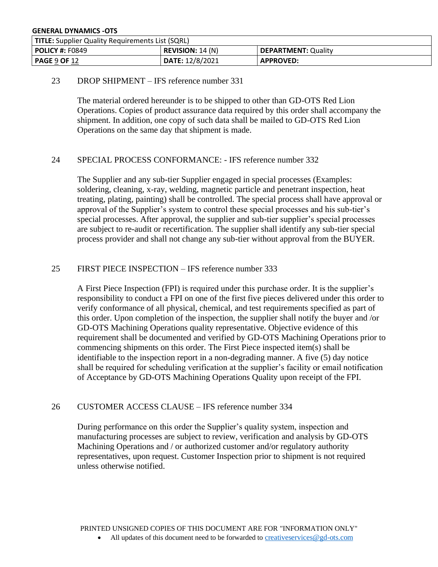| <b>TITLE:</b> Supplier Quality Requirements List (SQRL) |                                                |                  |  |
|---------------------------------------------------------|------------------------------------------------|------------------|--|
| <b>POLICY #: F0849</b>                                  | <b>REVISION:</b> 14 (N)<br>DEPARTMENT: Quality |                  |  |
| PAGE 9 OF 12                                            | DATE: 12/8/2021                                | <b>APPROVED:</b> |  |

## 23 DROP SHIPMENT – IFS reference number 331

The material ordered hereunder is to be shipped to other than GD-OTS Red Lion Operations. Copies of product assurance data required by this order shall accompany the shipment. In addition, one copy of such data shall be mailed to GD-OTS Red Lion Operations on the same day that shipment is made.

## 24 SPECIAL PROCESS CONFORMANCE: - IFS reference number 332

The Supplier and any sub-tier Supplier engaged in special processes (Examples: soldering, cleaning, x-ray, welding, magnetic particle and penetrant inspection, heat treating, plating, painting) shall be controlled. The special process shall have approval or approval of the Supplier's system to control these special processes and his sub-tier's special processes. After approval, the supplier and sub-tier supplier's special processes are subject to re-audit or recertification. The supplier shall identify any sub-tier special process provider and shall not change any sub-tier without approval from the BUYER.

### 25 FIRST PIECE INSPECTION – IFS reference number 333

A First Piece Inspection (FPI) is required under this purchase order. It is the supplier's responsibility to conduct a FPI on one of the first five pieces delivered under this order to verify conformance of all physical, chemical, and test requirements specified as part of this order. Upon completion of the inspection, the supplier shall notify the buyer and /or GD-OTS Machining Operations quality representative. Objective evidence of this requirement shall be documented and verified by GD-OTS Machining Operations prior to commencing shipments on this order. The First Piece inspected item(s) shall be identifiable to the inspection report in a non-degrading manner. A five (5) day notice shall be required for scheduling verification at the supplier's facility or email notification of Acceptance by GD-OTS Machining Operations Quality upon receipt of the FPI.

## 26 CUSTOMER ACCESS CLAUSE – IFS reference number 334

During performance on this order the Supplier's quality system, inspection and manufacturing processes are subject to review, verification and analysis by GD-OTS Machining Operations and / or authorized customer and/or regulatory authority representatives, upon request. Customer Inspection prior to shipment is not required unless otherwise notified.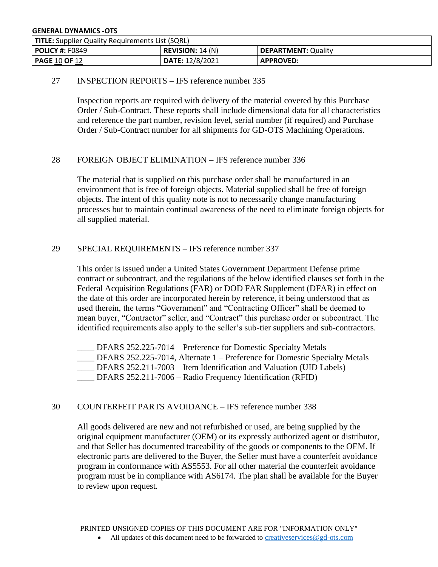| <b>TITLE:</b> Supplier Quality Requirements List (SQRL) |                         |                     |
|---------------------------------------------------------|-------------------------|---------------------|
| <b>POLICY #: F0849</b>                                  | <b>REVISION:</b> 14 (N) | DEPARTMENT: Quality |
| <b>PAGE 10 OF 12</b>                                    | DATE: 12/8/2021         | <b>APPROVED:</b>    |

# 27 INSPECTION REPORTS – IFS reference number 335

Inspection reports are required with delivery of the material covered by this Purchase Order / Sub-Contract. These reports shall include dimensional data for all characteristics and reference the part number, revision level, serial number (if required) and Purchase Order / Sub-Contract number for all shipments for GD-OTS Machining Operations.

## 28 FOREIGN OBJECT ELIMINATION – IFS reference number 336

The material that is supplied on this purchase order shall be manufactured in an environment that is free of foreign objects. Material supplied shall be free of foreign objects. The intent of this quality note is not to necessarily change manufacturing processes but to maintain continual awareness of the need to eliminate foreign objects for all supplied material.

## 29 SPECIAL REQUIREMENTS – IFS reference number 337

This order is issued under a United States Government Department Defense prime contract or subcontract, and the regulations of the below identified clauses set forth in the Federal Acquisition Regulations (FAR) or DOD FAR Supplement (DFAR) in effect on the date of this order are incorporated herein by reference, it being understood that as used therein, the terms "Government" and "Contracting Officer" shall be deemed to mean buyer, "Contractor" seller, and "Contract" this purchase order or subcontract. The identified requirements also apply to the seller's sub-tier suppliers and sub-contractors.

\_\_\_\_ DFARS 252.225-7014 – Preference for Domestic Specialty Metals \_\_\_\_ DFARS 252.225-7014, Alternate 1 – Preference for Domestic Specialty Metals DFARS 252.211-7003 – Item Identification and Valuation (UID Labels) \_\_\_\_ DFARS 252.211-7006 – Radio Frequency Identification (RFID)

## 30 COUNTERFEIT PARTS AVOIDANCE – IFS reference number 338

All goods delivered are new and not refurbished or used, are being supplied by the original equipment manufacturer (OEM) or its expressly authorized agent or distributor, and that Seller has documented traceability of the goods or components to the OEM. If electronic parts are delivered to the Buyer, the Seller must have a counterfeit avoidance program in conformance with AS5553. For all other material the counterfeit avoidance program must be in compliance with AS6174. The plan shall be available for the Buyer to review upon request.

PRINTED UNSIGNED COPIES OF THIS DOCUMENT ARE FOR "INFORMATION ONLY"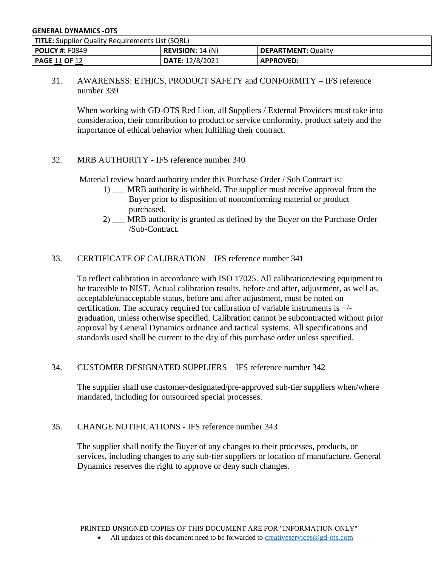| <b>TITLE:</b> Supplier Quality Requirements List (SQRL)                    |                 |                  |
|----------------------------------------------------------------------------|-----------------|------------------|
| <b>REVISION:</b> 14 (N)<br>DEPARTMENT: Quality<br>  <b>POLICY #:</b> F0849 |                 |                  |
| PAGE 11 OF 12                                                              | DATE: 12/8/2021 | <b>APPROVED:</b> |

31. AWARENESS: ETHICS, PRODUCT SAFETY and CONFORMITY – IFS reference number 339

When working with GD-OTS Red Lion, all Suppliers / External Providers must take into consideration, their contribution to product or service conformity, product safety and the importance of ethical behavior when fulfilling their contract.

## 32. MRB AUTHORITY - IFS reference number 340

Material review board authority under this Purchase Order / Sub Contract is:

- 1) MRB authority is withheld. The supplier must receive approval from the Buyer prior to disposition of nonconforming material or product purchased.
- 2) \_\_\_ MRB authority is granted as defined by the Buyer on the Purchase Order /Sub-Contract.

## 33. CERTIFICATE OF CALIBRATION – IFS reference number 341

To reflect calibration in accordance with ISO 17025. All calibration/testing equipment to be traceable to NIST. Actual calibration results, before and after, adjustment, as well as, acceptable/unacceptable status, before and after adjustment, must be noted on certification. The accuracy required for calibration of variable instruments is +/ graduation, unless otherwise specified. Calibration cannot be subcontracted without prior approval by General Dynamics ordnance and tactical systems. All specifications and standards used shall be current to the day of this purchase order unless specified.

## 34. CUSTOMER DESIGNATED SUPPLIERS – IFS reference number 342

The supplier shall use customer-designated/pre-approved sub-tier suppliers when/where mandated, including for outsourced special processes.

### 35. CHANGE NOTIFICATIONS - IFS reference number 343

The supplier shall notify the Buyer of any changes to their processes, products, or services, including changes to any sub-tier suppliers or location of manufacture. General Dynamics reserves the right to approve or deny such changes.